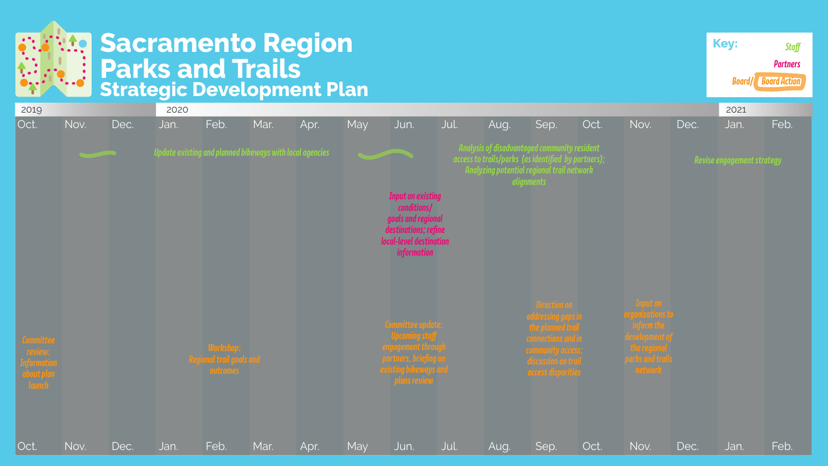

## **Sacramento Region Parks and Trails Strategic Development Plan**





| <b>Key:</b>         |  |
|---------------------|--|
|                     |  |
| <b>Board/ Board</b> |  |
|                     |  |

| 2019                                                        |      |      | 2020                                                     |                                       |      |      |     |                                                    |      |                                                     |                                          |      |                                                                                                             |      | 2021                       |      |
|-------------------------------------------------------------|------|------|----------------------------------------------------------|---------------------------------------|------|------|-----|----------------------------------------------------|------|-----------------------------------------------------|------------------------------------------|------|-------------------------------------------------------------------------------------------------------------|------|----------------------------|------|
| Oct.                                                        | Nov. | Dec. | Jan.                                                     | Feb.                                  | Mar. | Apr. | May | Jun.                                               | Jul. | Aug.                                                | Sep.                                     | Oct. | Nov.                                                                                                        | Dec. | Jan.                       | Feb. |
|                                                             |      |      |                                                          |                                       |      |      |     |                                                    |      | <b>Analysis of disadvantaged community resident</b> |                                          |      |                                                                                                             |      |                            |      |
|                                                             |      |      | Update existing and planned bikeways with local agencies |                                       |      |      |     |                                                    |      | access to trails/parks (as identified by partners); |                                          |      |                                                                                                             |      | Revise engagement strategy |      |
|                                                             |      |      |                                                          |                                       |      |      |     |                                                    |      | Analyzing potential regional trail network          | alignments                               |      |                                                                                                             |      |                            |      |
|                                                             |      |      |                                                          |                                       |      |      |     | <b>Input on existing</b>                           |      |                                                     |                                          |      |                                                                                                             |      |                            |      |
|                                                             |      |      |                                                          |                                       |      |      |     | conditions/                                        |      |                                                     |                                          |      |                                                                                                             |      |                            |      |
|                                                             |      |      |                                                          |                                       |      |      |     | goals and regional<br>destinations; refine         |      |                                                     |                                          |      |                                                                                                             |      |                            |      |
|                                                             |      |      |                                                          |                                       |      |      |     | local-level destination                            |      |                                                     |                                          |      |                                                                                                             |      |                            |      |
|                                                             |      |      |                                                          |                                       |      |      |     | <i>information</i>                                 |      |                                                     |                                          |      |                                                                                                             |      |                            |      |
|                                                             |      |      |                                                          |                                       |      |      |     |                                                    |      |                                                     |                                          |      |                                                                                                             |      |                            |      |
|                                                             |      |      |                                                          |                                       |      |      |     |                                                    |      |                                                     |                                          |      |                                                                                                             |      |                            |      |
|                                                             |      |      |                                                          |                                       |      |      |     |                                                    |      |                                                     | <b>Direction on</b>                      |      | Input on<br>organizations to<br>inform the<br>development of<br>the regional<br>parks and trails<br>network |      |                            |      |
|                                                             |      |      |                                                          |                                       |      |      |     | Committee update:                                  |      |                                                     | addressing gaps in<br>the planned trail  |      |                                                                                                             |      |                            |      |
|                                                             |      |      |                                                          |                                       |      |      |     | <b>Upcoming staff</b><br><b>engagement through</b> |      |                                                     | connections and in                       |      |                                                                                                             |      |                            |      |
|                                                             |      |      |                                                          | Workshop:<br>Regional trail goals and |      |      |     | partners, briefing on                              |      |                                                     | community access;<br>discussion on trail |      |                                                                                                             |      |                            |      |
| Committee<br>review:<br>Information<br>about plan<br>launch |      |      |                                                          | <b><i><u>outcomes</u></i></b>         |      |      |     | existing bikeways and<br>plans review              |      |                                                     | <b><i>access disparities</i></b>         |      |                                                                                                             |      |                            |      |
|                                                             |      |      |                                                          |                                       |      |      |     |                                                    |      |                                                     |                                          |      |                                                                                                             |      |                            |      |
|                                                             |      |      |                                                          |                                       |      |      |     |                                                    |      |                                                     |                                          |      |                                                                                                             |      |                            |      |
|                                                             |      |      |                                                          |                                       |      |      |     |                                                    |      |                                                     |                                          |      |                                                                                                             |      |                            |      |
| Oct.                                                        | Nov. | Dec. | Jan.                                                     | Feb.                                  | Mar. | Apr. | May | Jun.                                               | Jul. | Aug.                                                | Sep.                                     | Oct. | Nov.                                                                                                        | Dec. | Jan.                       | Feb. |